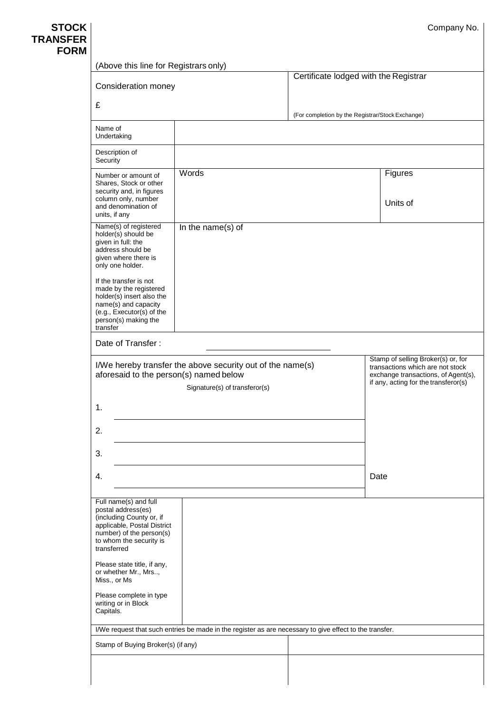| Company No. |  |
|-------------|--|
|-------------|--|

| <b>STOCK</b> |
|--------------|
| TRANSFER     |
| <b>FORM</b>  |

| (Above this line for Registrars only)                                                                                                                                                                                                                                                                              |                                       |                                                  |                                                                                                                                                       |  |
|--------------------------------------------------------------------------------------------------------------------------------------------------------------------------------------------------------------------------------------------------------------------------------------------------------------------|---------------------------------------|--------------------------------------------------|-------------------------------------------------------------------------------------------------------------------------------------------------------|--|
| Consideration money                                                                                                                                                                                                                                                                                                | Certificate lodged with the Registrar |                                                  |                                                                                                                                                       |  |
| £                                                                                                                                                                                                                                                                                                                  |                                       |                                                  |                                                                                                                                                       |  |
|                                                                                                                                                                                                                                                                                                                    |                                       | (For completion by the Registrar/Stock Exchange) |                                                                                                                                                       |  |
| Name of<br>Undertaking                                                                                                                                                                                                                                                                                             |                                       |                                                  |                                                                                                                                                       |  |
| Description of<br>Security                                                                                                                                                                                                                                                                                         |                                       |                                                  |                                                                                                                                                       |  |
| Number or amount of<br>Shares, Stock or other<br>security and, in figures<br>column only, number<br>and denomination of<br>units, if any                                                                                                                                                                           | Words                                 |                                                  | Figures<br>Units of                                                                                                                                   |  |
| Name(s) of registered<br>holder(s) should be<br>given in full: the<br>address should be<br>given where there is<br>only one holder.<br>If the transfer is not<br>made by the registered<br>holder(s) insert also the<br>name(s) and capacity<br>(e.g., Executor(s) of the<br>person(s) making the<br>transfer      | In the name(s) of                     |                                                  |                                                                                                                                                       |  |
| Date of Transfer:                                                                                                                                                                                                                                                                                                  |                                       |                                                  |                                                                                                                                                       |  |
| I/We hereby transfer the above security out of the name(s)<br>aforesaid to the person(s) named below<br>Signature(s) of transferor(s)                                                                                                                                                                              |                                       |                                                  | Stamp of selling Broker(s) or, for<br>transactions which are not stock<br>exchange transactions, of Agent(s),<br>if any, acting for the transferor(s) |  |
| 1.                                                                                                                                                                                                                                                                                                                 |                                       |                                                  |                                                                                                                                                       |  |
| 2.                                                                                                                                                                                                                                                                                                                 |                                       |                                                  |                                                                                                                                                       |  |
| 3.                                                                                                                                                                                                                                                                                                                 |                                       |                                                  |                                                                                                                                                       |  |
| 4.                                                                                                                                                                                                                                                                                                                 |                                       |                                                  | Date                                                                                                                                                  |  |
| Full name(s) and full<br>postal address(es)<br>(including County or, if<br>applicable, Postal District<br>number) of the person(s)<br>to whom the security is<br>transferred<br>Please state title, if any,<br>or whether Mr., Mrs,<br>Miss., or Ms<br>Please complete in type<br>writing or in Block<br>Capitals. |                                       |                                                  |                                                                                                                                                       |  |
| I/We request that such entries be made in the register as are necessary to give effect to the transfer.                                                                                                                                                                                                            |                                       |                                                  |                                                                                                                                                       |  |
| Stamp of Buying Broker(s) (if any)                                                                                                                                                                                                                                                                                 |                                       |                                                  |                                                                                                                                                       |  |
|                                                                                                                                                                                                                                                                                                                    |                                       |                                                  |                                                                                                                                                       |  |